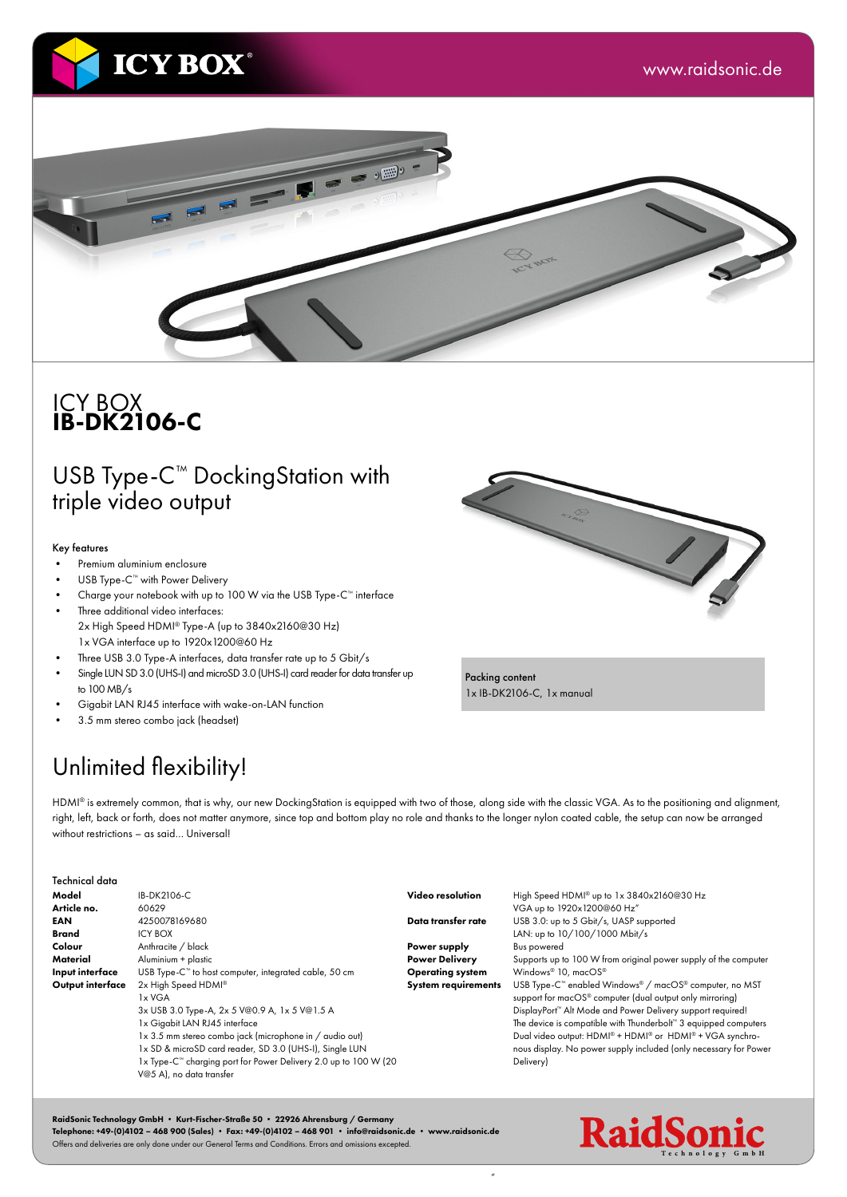



#### ICY BOX IB-DK2106-C

## USB Type-C™ DockingStation with triple video output

#### Key features

- Premium aluminium enclosure
- USB Type-C<sup>™</sup> with Power Delivery
- Charge your notebook with up to 100 W via the USB Type-C™ interface Three additional video interfaces:
- 2x High Speed HDMI® Type-A (up to 3840x2160@30 Hz) 1x VGA interface up to 1920x1200@60 Hz
- Three USB 3.0 Type-A interfaces, data transfer rate up to 5 Gbit/s
- Single LUN SD 3.0 (UHS-I) and microSD 3.0 (UHS-I) card reader for data transfer up to 100 MB/s
- Gigabit LAN RJ45 interface with wake-on-LAN function
- 3.5 mm stereo combo jack (headset)



Packing content 1x IB-DK2106-C, 1x manual

"

## Unlimited flexibility!

HDMI® is extremely common, that is why, our new DockingStation is equipped with two of those, along side with the classic VGA. As to the positioning and alignment, right, left, back or forth, does not matter anymore, since top and bottom play no role and thanks to the longer nylon coated cable, the setup can now be arranged without restrictions – as said… Universal!

| Technical data   |                                                                               |                            |                                                                              |
|------------------|-------------------------------------------------------------------------------|----------------------------|------------------------------------------------------------------------------|
| Model            | IB-DK2106-C                                                                   | Video resolution           | High Speed HDMI® up to 1x 3840x2160@30 Hz                                    |
| Article no.      | 60629                                                                         |                            | VGA up to 1920x1200@60 Hz"                                                   |
| <b>EAN</b>       | 4250078169680                                                                 | Data transfer rate         | USB 3.0: up to 5 Gbit/s, UASP supported                                      |
| <b>Brand</b>     | <b>ICY BOX</b>                                                                |                            | LAN: up to 10/100/1000 Mbit/s                                                |
| Colour           | Anthracite / black                                                            | Power supply               | <b>Bus powered</b>                                                           |
| Material         | Aluminium + plastic                                                           | <b>Power Delivery</b>      | Supports up to 100 W from original power supply of the computer              |
| Input interface  | USB Type-C <sup>™</sup> to host computer, integrated cable, 50 cm             | <b>Operating system</b>    | Windows® 10, macOS®                                                          |
| Output interface | 2x High Speed HDMI®                                                           | <b>System requirements</b> | USB Type-C <sup>™</sup> enabled Windows® / macOS® computer, no MST           |
|                  | 1x VGA                                                                        |                            | support for macOS <sup>®</sup> computer (dual output only mirroring)         |
|                  | 3x USB 3.0 Type-A, 2x 5 V@0.9 A, 1x 5 V@1.5 A                                 |                            | DisplayPort <sup>™</sup> Alt Mode and Power Delivery support required!       |
|                  | 1x Gigabit LAN RJ45 interface                                                 |                            | The device is compatible with Thunderbolt <sup>**</sup> 3 equipped computers |
|                  | 1x 3.5 mm stereo combo jack (microphone in / audio out)                       |                            | Dual video output: HDMI® + HDMI® or HDMI® + VGA synchro-                     |
|                  | 1x SD & microSD card reader, SD 3.0 (UHS-I), Single LUN                       |                            | nous display. No power supply included (only necessary for Power             |
|                  | 1x Type-C <sup>tor</sup> charging port for Power Delivery 2.0 up to 100 W (20 |                            | Delivery)                                                                    |
|                  | V@5 A), no data transfer                                                      |                            |                                                                              |